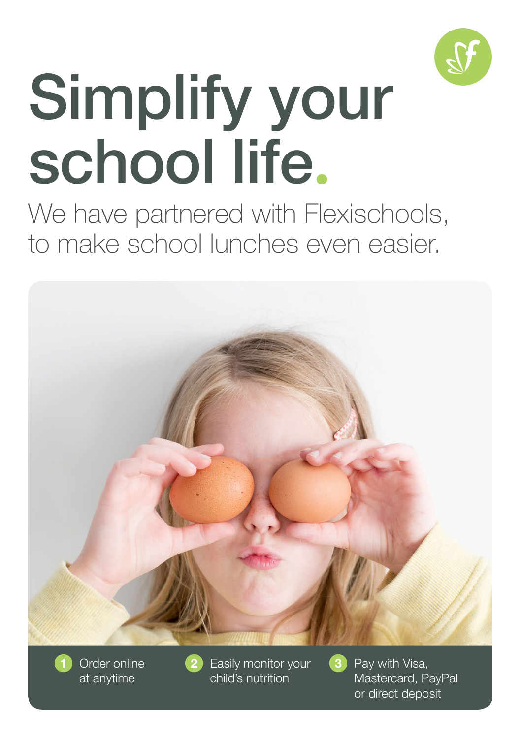

# Simplify your school life.

We have partnered with Flexischools, to make school lunches even easier.



Order online at anytime

1 Order online **2** Easily monitor your **3** Pay with Visa, child's nutrition

Mastercard, PayPal or direct deposit

3